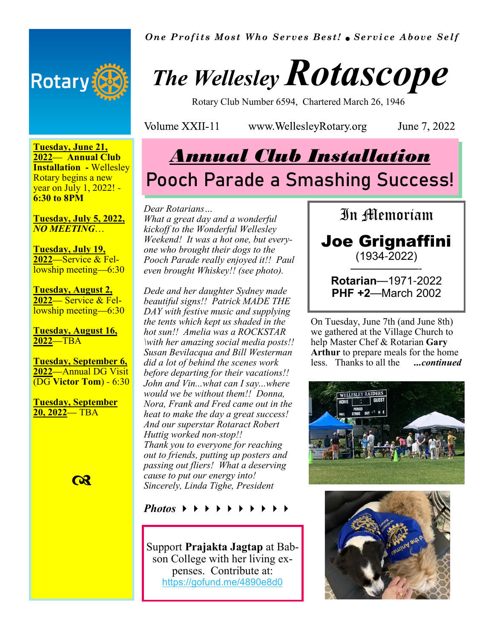

*One Profits Most Who Serves Best! Service Above Self*

# *The Wellesley Rotascope*

Rotary Club Number 6594, Chartered March 26, 1946

Volume XXII-11

www.WellesleyRotary.org

June 7, 2022

#### **Tuesday, June 21, 2022**— **Annual Club Installation -** Wellesley Rotary begins a new year on July 1, 2022! - **6:30 to 8PM**

#### **Tuesday, July 5, 2022,**  *NO MEETING*…

**Tuesday, July 19, 2022**—Service & Fellowship meeting—6:30

**Tuesday, August 2, 2022**— Service & Fellowship meeting—6:30

**Tuesday, August 16, 2022**—TBA

**Tuesday, September 6, 2022**—Annual DG Visit (DG **Victor Tom**) - 6:30

**Tuesday, September 20, 2022**— TBA



# *Annual Club Installation* **Pooch Parade a Smashing Success!**

#### *Dear Rotarians…*

*What a great day and a wonderful kickoff to the Wonderful Wellesley Weekend! It was a hot one, but everyone who brought their dogs to the Pooch Parade really enjoyed it!! Paul even brought Whiskey!! (see photo).* 

*Dede and her daughter Sydney made beautiful signs!! Patrick MADE THE DAY with festive music and supplying the tents which kept us shaded in the hot sun!! Amelia was a ROCKSTAR \with her amazing social media posts!! Susan Bevilacqua and Bill Westerman did a lot of behind the scenes work before departing for their vacations!! John and Vin...what can I say...where would we be without them!! Donna, Nora, Frank and Fred came out in the heat to make the day a great success! And our superstar Rotaract Robert Huttig worked non-stop!! Thank you to everyone for reaching out to friends, putting up posters and passing out fliers! What a deserving cause to put our energy into! Sincerely, Linda Tighe, President*

*Photos* 

Support **Prajakta Jagtap** at Babson College with her living expenses. Contribute at: https://gofund.me/4890e8d0



**PHF +2**—March 2002

On Tuesday, June 7th (and June 8th) we gathered at the Village Church to help Master Chef & Rotarian **Gary Arthur** to prepare meals for the home less. Thanks to all the *...continued*